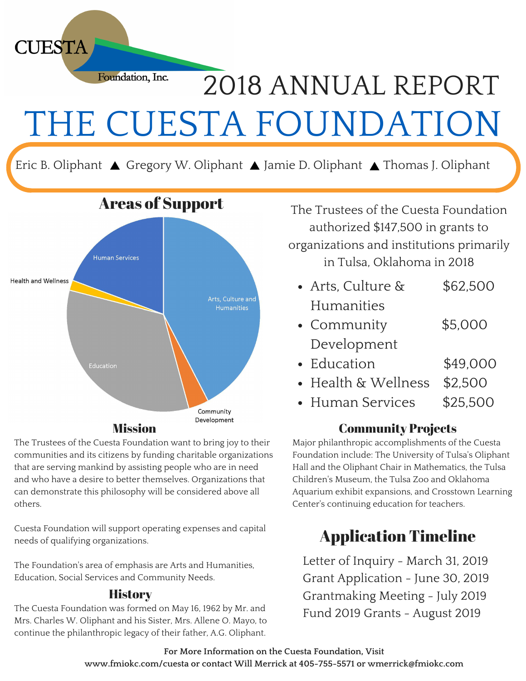

Eric B. Oliphant ▲ Gregory W. Oliphant ▲ Jamie D. Oliphant ▲ Thomas J. Oliphant



The Trustees of the Cuesta Foundation want to bring joy to their communities and its citizens by funding charitable organizations that are serving mankind by assisting people who are in need and who have a desire to better themselves. Organizations that can demonstrate this philosophy will be considered above all others.

Cuesta Foundation will support operating expenses and capital needs of qualifying organizations.

The Foundation's area of emphasis are Arts and Humanities, Education, Social Services and Community Needs.

#### **History**

The Cuesta Foundation was formed on May 16, 1962 by Mr. and Mrs. Charles W. Oliphant and his Sister, Mrs. Allene O. Mayo, to continue the philanthropic legacy of their father, A.G. Oliphant.

The Trustees of the Cuesta Foundation authorized \$147,500 in grants to organizations and institutions primarily in Tulsa, Oklahoma in 2018

- Arts, Culture & \$62,500 Humanities
- Community \$5,000 Development
- Education \$49,000
- Health & Wellness \$2,500
- Human Services \$25,500

#### Community Projects

Major philanthropic accomplishments of the Cuesta Foundation include: The University of Tulsa's Oliphant Hall and the Oliphant Chair in Mathematics, the Tulsa Children's Museum, the Tulsa Zoo and Oklahoma Aquarium exhibit expansions, and Crosstown Learning Center's continuing education for teachers.

## Application Timeline

Letter of Inquiry - March 31, 2019 Grant Application - June 30, 2019 Grantmaking Meeting - July 2019 Fund 2019 Grants - August 2019